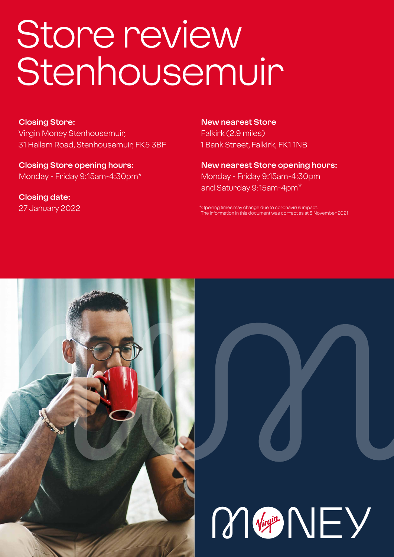# Store review Stenhousemuir

#### **Closing Store:**

Virgin Money Stenhousemuir, 31 Hallam Road, Stenhousemuir, FK5 3BF

**Closing Store opening hours:**  Monday - Friday 9:15am-4:30pm\*

**Closing date:**  27 January 2022

**New nearest Store** Falkirk (2.9 miles) 1 Bank Street, Falkirk, FK1 1NB

**New nearest Store opening hours:** Monday - Friday 9:15am-4:30pm and Saturday 9:15am-4pm\*

\*Opening times may change due to coronavirus imp The information in this document was correct as at 5 November 2021



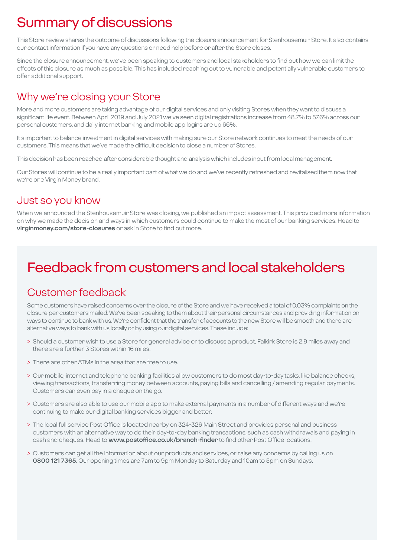# Summary of discussions

This Store review shares the outcome of discussions following the closure announcement for Stenhousemuir Store. It also contains our contact information if you have any questions or need help before or after the Store closes.

Since the closure announcement, we've been speaking to customers and local stakeholders to find out how we can limit the effects of this closure as much as possible. This has included reaching out to vulnerable and potentially vulnerable customers to offer additional support.

### Why we're closing your Store

More and more customers are taking advantage of our digital services and only visiting Stores when they want to discuss a significant life event. Between April 2019 and July 2021 we've seen digital registrations increase from 48.7% to 57.6% across our personal customers, and daily internet banking and mobile app logins are up 66%.

It's important to balance investment in digital services with making sure our Store network continues to meet the needs of our customers. This means that we've made the difficult decision to close a number of Stores.

This decision has been reached after considerable thought and analysis which includes input from local management.

Our Stores will continue to be a really important part of what we do and we've recently refreshed and revitalised them now that we're one Virgin Money brand.

### Just so you know

When we announced the Stenhousemuir Store was closing, we published an impact assessment. This provided more information on why we made the decision and ways in which customers could continue to make the most of our banking services. Head to **virginmoney.com/store-closures** or ask in Store to find out more.

# Feedback from customers and local stakeholders

### Customer feedback

Some customers have raised concerns over the closure of the Store and we have received a total of 0.03% complaints on the closure per customers mailed. We've been speaking to them about their personal circumstances and providing information on ways to continue to bank with us. We're confident that the transfer of accounts to the new Store will be smooth and there are alternative ways to bank with us locally or by using our digital services. These include:

- > Should a customer wish to use a Store for general advice or to discuss a product, Falkirk Store is 2.9 miles away and there are a further 3 Stores within 16 miles.
- > There are other ATMs in the area that are free to use.
- > Our mobile, internet and telephone banking facilities allow customers to do most day-to-day tasks, like balance checks, viewing transactions, transferring money between accounts, paying bills and cancelling / amending regular payments. Customers can even pay in a cheque on the go.
- > Customers are also able to use our mobile app to make external payments in a number of different ways and we're continuing to make our digital banking services bigger and better.
- > The local full service Post Office is located nearby on 324-326 Main Street and provides personal and business customers with an alternative way to do their day-to-day banking transactions, such as cash withdrawals and paying in cash and cheques. Head to **www.postoffice.co.uk/branch-finder** to find other Post Office locations.
- > Customers can get all the information about our products and services, or raise any concerns by calling us on **0800 121 7365**. Our opening times are 7am to 9pm Monday to Saturday and 10am to 5pm on Sundays.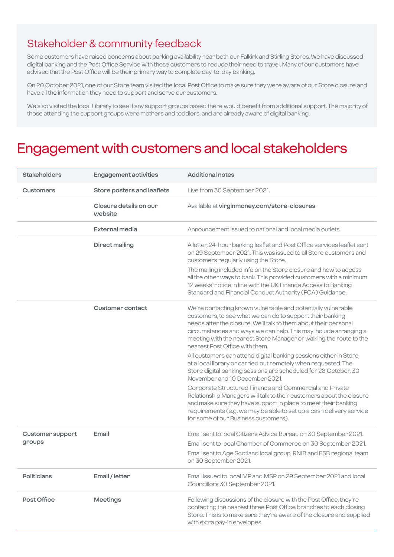### Stakeholder & community feedback

Some customers have raised concerns about parking availability near both our Falkirk and Stirling Stores. We have discussed digital banking and the Post Office Service with these customers to reduce their need to travel. Many of our customers have advised that the Post Office will be their primary way to complete day-to-day banking.

On 20 October 2021, one of our Store team visited the local Post Office to make sure they were aware of our Store closure and have all the information they need to support and serve our customers.

We also visited the local Library to see if any support groups based there would benefit from additional support. The majority of those attending the support groups were mothers and toddlers, and are already aware of digital banking.

### Engagement with customers and local stakeholders

| <b>Stakeholders</b>               | <b>Engagement activities</b>      | <b>Additional notes</b>                                                                                                                                                                                                                                                                                                                                                   |
|-----------------------------------|-----------------------------------|---------------------------------------------------------------------------------------------------------------------------------------------------------------------------------------------------------------------------------------------------------------------------------------------------------------------------------------------------------------------------|
| <b>Customers</b>                  | Store posters and leaflets        | Live from 30 September 2021.                                                                                                                                                                                                                                                                                                                                              |
|                                   | Closure details on our<br>website | Available at virginmoney.com/store-closures                                                                                                                                                                                                                                                                                                                               |
|                                   | <b>External media</b>             | Announcement issued to national and local media outlets.                                                                                                                                                                                                                                                                                                                  |
|                                   | <b>Direct mailing</b>             | A letter, 24-hour banking leaflet and Post Office services leaflet sent<br>on 29 September 2021. This was issued to all Store customers and<br>customers regularly using the Store.                                                                                                                                                                                       |
|                                   |                                   | The mailing included info on the Store closure and how to access<br>all the other ways to bank. This provided customers with a minimum<br>12 weeks' notice in line with the UK Finance Access to Banking<br>Standard and Financial Conduct Authority (FCA) Guidance.                                                                                                      |
|                                   | <b>Customer contact</b>           | We're contacting known vulnerable and potentially vulnerable<br>customers, to see what we can do to support their banking<br>needs after the closure. We'll talk to them about their personal<br>circumstances and ways we can help. This may include arranging a<br>meeting with the nearest Store Manager or walking the route to the<br>nearest Post Office with them. |
|                                   |                                   | All customers can attend digital banking sessions either in Store,<br>at a local library or carried out remotely when requested. The<br>Store digital banking sessions are scheduled for 28 October, 30<br>November and 10 December 2021.                                                                                                                                 |
|                                   |                                   | Corporate Structured Finance and Commercial and Private<br>Relationship Managers will talk to their customers about the closure<br>and make sure they have support in place to meet their banking<br>requirements (e.g. we may be able to set up a cash delivery service<br>for some of our Business customers).                                                          |
| <b>Customer support</b><br>groups | Email                             | Email sent to local Citizens Advice Bureau on 30 September 2021.<br>Email sent to local Chamber of Commerce on 30 September 2021.<br>Email sent to Age Scotland local group, RNIB and FSB regional team<br>on 30 September 2021.                                                                                                                                          |
| <b>Politicians</b>                | Email / letter                    | Email issued to local MP and MSP on 29 September 2021 and local<br>Councillors 30 September 2021.                                                                                                                                                                                                                                                                         |
| Post Office                       | <b>Meetings</b>                   | Following discussions of the closure with the Post Office, they're<br>contacting the nearest three Post Office branches to each closing<br>Store. This is to make sure they're aware of the closure and supplied<br>with extra pay-in envelopes.                                                                                                                          |